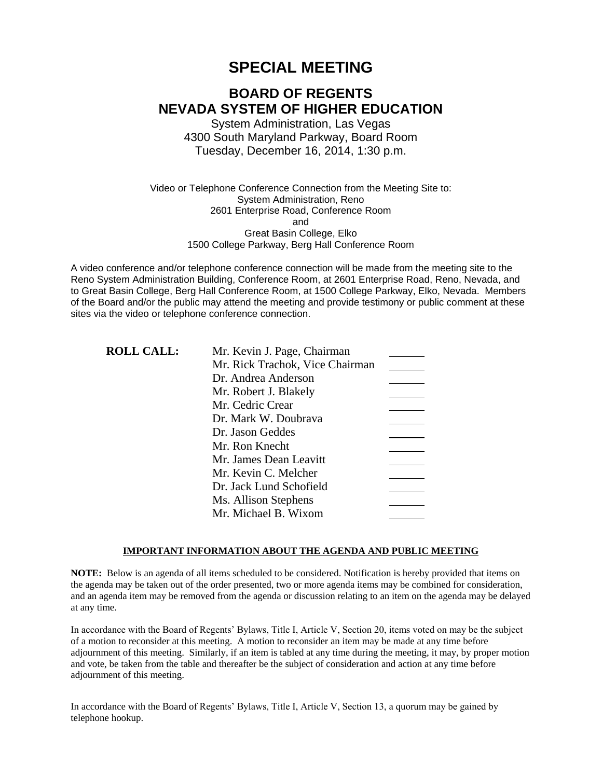# **SPECIAL MEETING**

# **BOARD OF REGENTS NEVADA SYSTEM OF HIGHER EDUCATION**

System Administration, Las Vegas 4300 South Maryland Parkway, Board Room Tuesday, December 16, 2014, 1:30 p.m.

Video or Telephone Conference Connection from the Meeting Site to: System Administration, Reno 2601 Enterprise Road, Conference Room and Great Basin College, Elko 1500 College Parkway, Berg Hall Conference Room

A video conference and/or telephone conference connection will be made from the meeting site to the Reno System Administration Building, Conference Room, at 2601 Enterprise Road, Reno, Nevada, and to Great Basin College, Berg Hall Conference Room, at 1500 College Parkway, Elko, Nevada. Members of the Board and/or the public may attend the meeting and provide testimony or public comment at these sites via the video or telephone conference connection.

| <b>ROLL CALL:</b> | Mr. Kevin J. Page, Chairman     |  |
|-------------------|---------------------------------|--|
|                   | Mr. Rick Trachok, Vice Chairman |  |
|                   | Dr. Andrea Anderson             |  |
|                   | Mr. Robert J. Blakely           |  |
|                   | Mr. Cedric Crear                |  |
|                   | Dr. Mark W. Doubrava            |  |
|                   | Dr. Jason Geddes                |  |
|                   | Mr. Ron Knecht                  |  |
|                   | Mr. James Dean Leavitt          |  |
|                   | Mr. Kevin C. Melcher            |  |
|                   | Dr. Jack Lund Schofield         |  |
|                   | Ms. Allison Stephens            |  |
|                   | Mr. Michael B. Wixom            |  |

### **IMPORTANT INFORMATION ABOUT THE AGENDA AND PUBLIC MEETING**

**NOTE:** Below is an agenda of all items scheduled to be considered. Notification is hereby provided that items on the agenda may be taken out of the order presented, two or more agenda items may be combined for consideration, and an agenda item may be removed from the agenda or discussion relating to an item on the agenda may be delayed at any time.

In accordance with the Board of Regents' Bylaws, Title I, Article V, Section 20, items voted on may be the subject of a motion to reconsider at this meeting. A motion to reconsider an item may be made at any time before adjournment of this meeting. Similarly, if an item is tabled at any time during the meeting, it may, by proper motion and vote, be taken from the table and thereafter be the subject of consideration and action at any time before adjournment of this meeting.

In accordance with the Board of Regents' Bylaws, Title I, Article V, Section 13, a quorum may be gained by telephone hookup.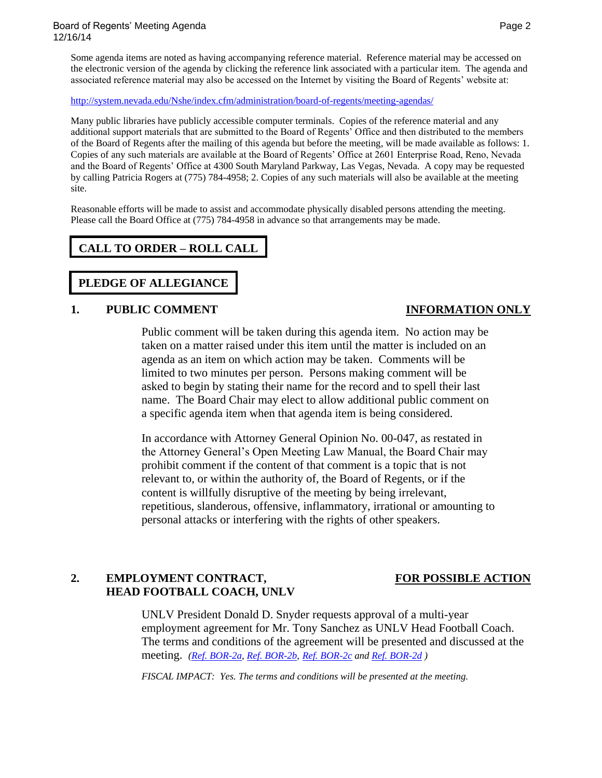Some agenda items are noted as having accompanying reference material. Reference material may be accessed on the electronic version of the agenda by clicking the reference link associated with a particular item. The agenda and associated reference material may also be accessed on the Internet by visiting the Board of Regents' website at:

### <http://system.nevada.edu/Nshe/index.cfm/administration/board-of-regents/meeting-agendas/>

Many public libraries have publicly accessible computer terminals. Copies of the reference material and any additional support materials that are submitted to the Board of Regents' Office and then distributed to the members of the Board of Regents after the mailing of this agenda but before the meeting, will be made available as follows: 1. Copies of any such materials are available at the Board of Regents' Office at 2601 Enterprise Road, Reno, Nevada and the Board of Regents' Office at 4300 South Maryland Parkway, Las Vegas, Nevada. A copy may be requested by calling Patricia Rogers at (775) 784-4958; 2. Copies of any such materials will also be available at the meeting site.

Reasonable efforts will be made to assist and accommodate physically disabled persons attending the meeting. Please call the Board Office at (775) 784-4958 in advance so that arrangements may be made.

# **CALL TO ORDER – ROLL CALL**

# **PLEDGE OF ALLEGIANCE**

### **1. PUBLIC COMMENT INFORMATION ONLY**

Public comment will be taken during this agenda item. No action may be taken on a matter raised under this item until the matter is included on an agenda as an item on which action may be taken. Comments will be limited to two minutes per person. Persons making comment will be asked to begin by stating their name for the record and to spell their last name. The Board Chair may elect to allow additional public comment on a specific agenda item when that agenda item is being considered.

In accordance with Attorney General Opinion No. 00-047, as restated in the Attorney General's Open Meeting Law Manual, the Board Chair may prohibit comment if the content of that comment is a topic that is not relevant to, or within the authority of, the Board of Regents, or if the content is willfully disruptive of the meeting by being irrelevant, repetitious, slanderous, offensive, inflammatory, irrational or amounting to personal attacks or interfering with the rights of other speakers.

# 2. **EMPLOYMENT CONTRACT, FOR POSSIBLE ACTION HEAD FOOTBALL COACH, UNLV**

UNLV President Donald D. Snyder requests approval of a multi-year employment agreement for Mr. Tony Sanchez as UNLV Head Football Coach. The terms and conditions of the agreement will be presented and discussed at the meeting. *[\(Ref. BOR-2a,](http://system.nevada.edu/tasks/sites/Nshe/assets/File/BoardOfRegents/Agendas/2014/dec-mtgs/bor-refs/REF%20BOR%202a.pdf) [Ref. BOR-2b,](http://system.nevada.edu/tasks/sites/Nshe/assets/File/BoardOfRegents/Agendas/2014/dec-mtgs/bor-refs/REF%20BOR%202b.pdf) [Ref. BOR-2c](http://system.nevada.edu/tasks/sites/Nshe/assets/File/BoardOfRegents/Agendas/2014/dec-mtgs/bor-refs/REF%20BOR%202c.pdf) and [Ref. BOR-2d](http://system.nevada.edu/tasks/sites/Nshe/assets/File/BoardOfRegents/Agendas/2014/dec-mtgs/bor-refs/REF%20BOR%202d.pdf) )*

*FISCAL IMPACT: Yes. The terms and conditions will be presented at the meeting.*